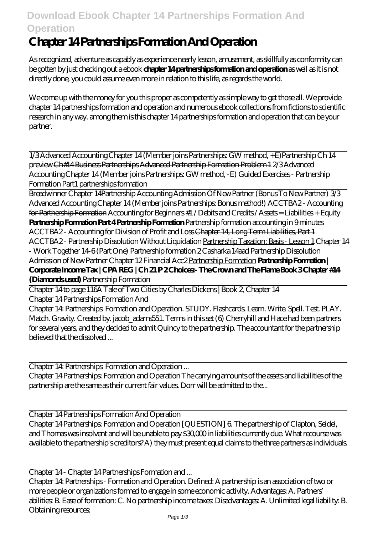## **Download Ebook Chapter 14 Partnerships Formation And Operation**

## **Chapter 14 Partnerships Formation And Operation**

As recognized, adventure as capably as experience nearly lesson, amusement, as skillfully as conformity can be gotten by just checking out a ebook **chapter 14 partnerships formation and operation** as well as it is not directly done, you could assume even more in relation to this life, as regards the world.

We come up with the money for you this proper as competently as simple way to get those all. We provide chapter 14 partnerships formation and operation and numerous ebook collections from fictions to scientific research in any way. among them is this chapter 14 partnerships formation and operation that can be your partner.

1/3 Advanced Accounting Chapter 14 (Member joins Partnerships: GW method, +E)*Partnership Ch 14 preview* Ch#14 Business Partnerships Advanced Partnership Formation Problem 1 *2/3 Advanced Accounting Chapter 14 (Member joins Partnerships: GW method, -E) Guided Exercises - Partnership Formation Part1 partnerships formation*

Breadwinner Chapter 14Partnership Accounting Admission Of New Partner (Bonus To New Partner) 3/3 Advanced Accounting Chapter 14 (Member joins Partnerships: Bonus method!) ACCTBA2 - Accounting for Partnership Formation Accounting for Beginners #1 / Debits and Credits / Assets = Liabilities + Equity **Partnership Formation Part 4 Partnership Formation** *Partnership formation accounting in 9 minutes* ACCTBA2 - Accounting for Division of Profit and Loss Chapter 14, Long Term Liabilities, Part 1 ACCTBA2 - Partnership Dissolution Without Liquidation Partnership Taxation: Basis - Lesson 1 *Chapter 14 - Work Together 14-6 (Part One)* Partnership formation 2 Casharka 14aad Partnership Dissolution Admission of New Partner Chapter 12 Financial Acc2 Partnership Formation **Partnership Formation | Corporate Income Tax | CPA REG | Ch 21 P 2 Choices:- The Crown and The Flame Book 3 Chapter #14 (Diamonds used)** Partnership Formation

Chapter 14 to page 116*A Tale of Two Cities by Charles Dickens | Book 2, Chapter 14*

Chapter 14 Partnerships Formation And

Chapter 14: Partnerships: Formation and Operation. STUDY. Flashcards. Learn. Write. Spell. Test. PLAY. Match. Gravity. Created by. jacob\_adams551. Terms in this set (6) Cherryhill and Hace had been partners for several years, and they decided to admit Quincy to the partnership. The accountant for the partnership believed that the dissolved ...

Chapter 14: Partnerships: Formation and Operation ...

Chapter 14 Partnerships: Formation and Operation The carrying amounts of the assets and liabilities of the partnership are the same as their current fair values. Dorr will be admitted to the...

Chapter 14 Partnerships Formation And Operation

Chapter 14 Partnerships: Formation and Operation [QUESTION] 6. The partnership of Clapton, Seidel, and Thomas was insolvent and will be unable to pay \$30,000 in liabilities currently due. What recourse was available to the partnership's creditors? A) they must present equal claims to the three partners as individuals.

Chapter 14 - Chapter 14 Partnerships Formation and ...

Chapter 14: Partnerships - Formation and Operation. Defined: A partnership is an association of two or more people or organizations formed to engage in some economic activity. Advantages: A. Partners' abilities: B. Ease of formation: C. No partnership income taxes: Disadvantages: A. Unlimited legal liability: B. Obtaining resources: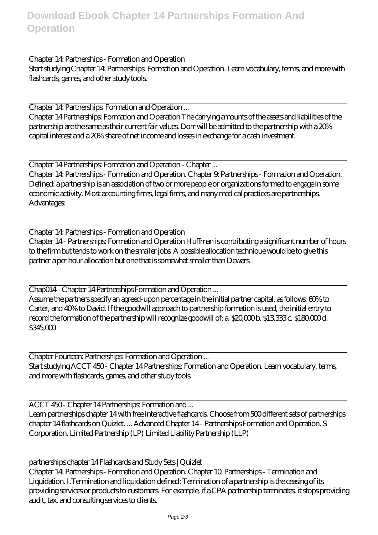Chapter 14: Partnerships - Formation and Operation Start studying Chapter 14: Partnerships: Formation and Operation. Learn vocabulary, terms, and more with flashcards, games, and other study tools.

Chapter 14: Partnerships: Formation and Operation ...

Chapter 14 Partnerships: Formation and Operation The carrying amounts of the assets and liabilities of the partnership are the same as their current fair values. Dorr will be admitted to the partnership with a 20% capital interest and a 20% share of net income and losses in exchange for a cash investment.

Chapter 14 Partnerships: Formation and Operation - Chapter ... Chapter 14: Partnerships - Formation and Operation. Chapter 9: Partnerships - Formation and Operation. Defined: a partnership is an association of two or more people or organizations formed to engage in some economic activity. Most accounting firms, legal firms, and many medical practices are partnerships. Advantages:

Chapter 14: Partnerships - Formation and Operation

Chapter 14 - Partnerships: Formation and Operation Huffman is contributing a significant number of hours to the firm but tends to work on the smaller jobs. A possible allocation technique would be to give this partner a per hour allocation but one that is somewhat smaller than Dewars.

Chap014 - Chapter 14 Partnerships Formation and Operation ...

Assume the partners specify an agreed-upon percentage in the initial partner capital, as follows: 60% to Carter, and 40% to David. If the goodwill approach to partnership formation is used, the initial entry to record the formation of the partnership will recognize goodwill of: a. \$20,000 b. \$13,333 c. \$180,000 d. \$345,000

Chapter Fourteen: Partnerships: Formation and Operation ... Start studying ACCT 450 - Chapter 14 Partnerships: Formation and Operation. Learn vocabulary, terms, and more with flashcards, games, and other study tools.

ACCT 450 - Chapter 14 Partnerships: Formation and ... Learn partnerships chapter 14 with free interactive flashcards. Choose from 500 different sets of partnerships chapter 14 flashcards on Quizlet. ... Advanced Chapter 14 - Partnerships Formation and Operation. S Corporation. Limited Partnership (LP) Limited Liability Partnership (LLP)

partnerships chapter 14 Flashcards and Study Sets | Quizlet Chapter 14: Partnerships - Formation and Operation. Chapter 10: Partnerships - Termination and Liquidation. I.Termination and liquidation defined: Termination of a partnership is the ceasing of its providing services or products to customers. For example, if a CPA partnership terminates, it stops providing audit, tax, and consulting services to clients.